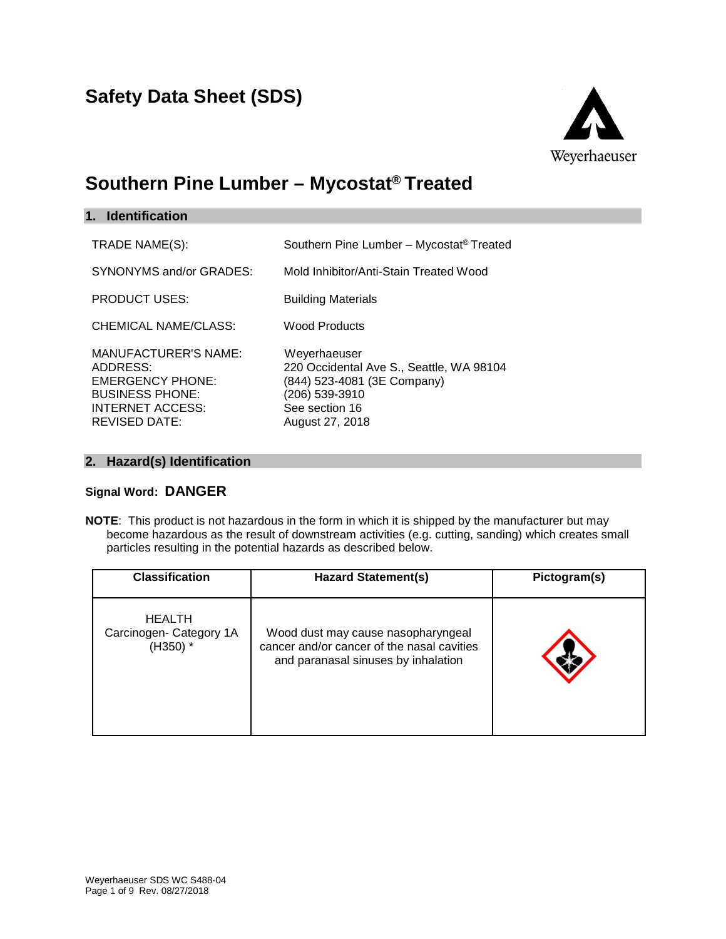# **Safety Data Sheet (SDS)**



# **Southern Pine Lumber – Mycostat® Treated**

| 1. Identification                                                                                                                        |                                                                                                                                                |
|------------------------------------------------------------------------------------------------------------------------------------------|------------------------------------------------------------------------------------------------------------------------------------------------|
| TRADE NAME(S):                                                                                                                           | Southern Pine Lumber - Mycostat <sup>®</sup> Treated                                                                                           |
| SYNONYMS and/or GRADES:                                                                                                                  | Mold Inhibitor/Anti-Stain Treated Wood                                                                                                         |
| <b>PRODUCT USES:</b>                                                                                                                     | <b>Building Materials</b>                                                                                                                      |
| CHEMICAL NAME/CLASS:                                                                                                                     | <b>Wood Products</b>                                                                                                                           |
| <b>MANUFACTURER'S NAME:</b><br>ADDRESS:<br><b>EMERGENCY PHONE:</b><br><b>BUSINESS PHONE:</b><br>INTERNET ACCESS:<br><b>REVISED DATE:</b> | Weyerhaeuser<br>220 Occidental Ave S., Seattle, WA 98104<br>(844) 523-4081 (3E Company)<br>(206) 539-3910<br>See section 16<br>August 27, 2018 |

# **2. Hazard(s) Identification**

#### **Signal Word: DANGER**

**NOTE**: This product is not hazardous in the form in which it is shipped by the manufacturer but may become hazardous as the result of downstream activities (e.g. cutting, sanding) which creates small particles resulting in the potential hazards as described below.

| <b>Classification</b>                                | <b>Hazard Statement(s)</b>                                                                                              | Pictogram(s) |
|------------------------------------------------------|-------------------------------------------------------------------------------------------------------------------------|--------------|
| <b>HEALTH</b><br>Carcinogen- Category 1A<br>(H350) * | Wood dust may cause nasopharyngeal<br>cancer and/or cancer of the nasal cavities<br>and paranasal sinuses by inhalation |              |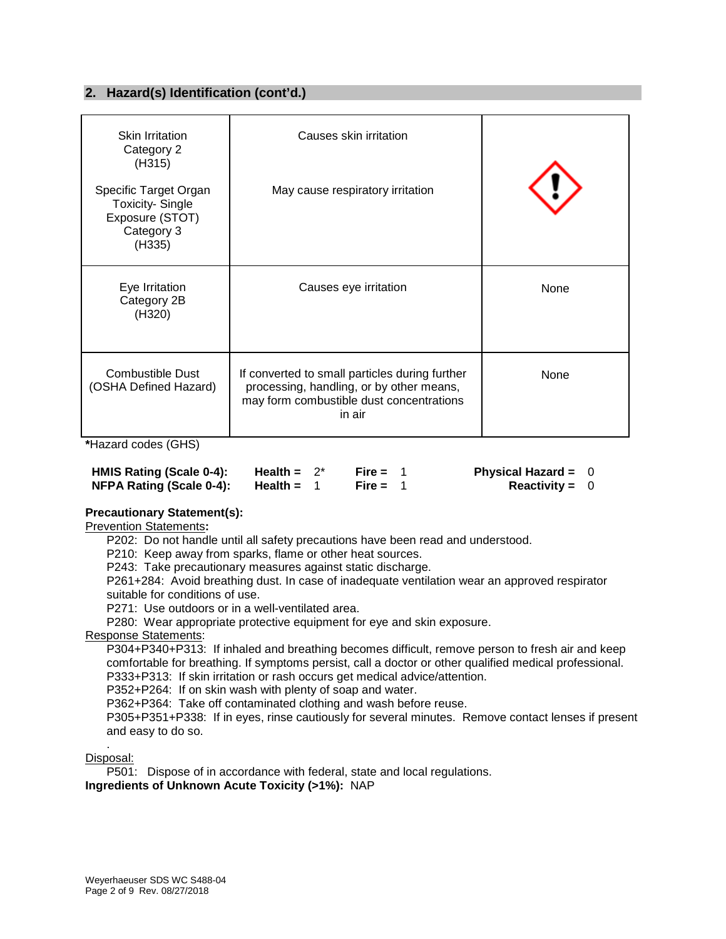## **2. Hazard(s) Identification (cont'd.)**

| <b>Skin Irritation</b><br>Category 2<br>(H315)                                             | Causes skin irritation                                                                                                                           |      |
|--------------------------------------------------------------------------------------------|--------------------------------------------------------------------------------------------------------------------------------------------------|------|
| Specific Target Organ<br><b>Toxicity-Single</b><br>Exposure (STOT)<br>Category 3<br>(H335) | May cause respiratory irritation                                                                                                                 |      |
| Eye Irritation<br>Category 2B<br>(H320)                                                    | Causes eye irritation                                                                                                                            | None |
| <b>Combustible Dust</b><br>(OSHA Defined Hazard)                                           | If converted to small particles during further<br>processing, handling, or by other means,<br>may form combustible dust concentrations<br>in air | None |

**\***Hazard codes (GHS)

| HMIS Rating (Scale 0-4): | Health = $2^*$ | Fire = $1$ | Physical Hazard = $0$   |  |
|--------------------------|----------------|------------|-------------------------|--|
| NFPA Rating (Scale 0-4): | Health =       | Fire = $1$ | <b>Reactivity</b> = $0$ |  |

#### **Precautionary Statement(s):**

Prevention Statements**:**

P202: Do not handle until all safety precautions have been read and understood.

P210: Keep away from sparks, flame or other heat sources.

P243: Take precautionary measures against static discharge.

P261+284: Avoid breathing dust. In case of inadequate ventilation wear an approved respirator suitable for conditions of use.

P271: Use outdoors or in a well-ventilated area.

P280: Wear appropriate protective equipment for eye and skin exposure.

Response Statements:

P304+P340+P313: If inhaled and breathing becomes difficult, remove person to fresh air and keep comfortable for breathing. If symptoms persist, call a doctor or other qualified medical professional. P333+P313: If skin irritation or rash occurs get medical advice/attention.

P352+P264: If on skin wash with plenty of soap and water.

P362+P364: Take off contaminated clothing and wash before reuse.

P305+P351+P338: If in eyes, rinse cautiously for several minutes. Remove contact lenses if present and easy to do so.

. Disposal:

P501: Dispose of in accordance with federal, state and local regulations. **Ingredients of Unknown Acute Toxicity (>1%):** NAP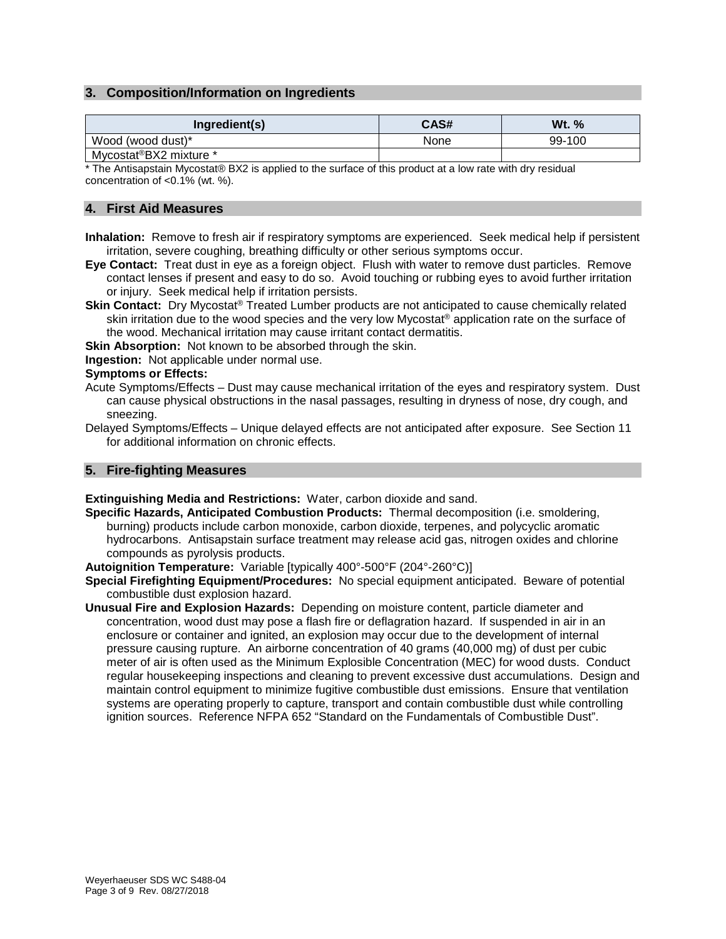#### **3. Composition/Information on Ingredients**

| Ingredient(s)                       | CAS# | Wt. %  |
|-------------------------------------|------|--------|
| Wood (wood dust)*                   | None | 99-100 |
| Mycostat <sup>®</sup> BX2 mixture * |      |        |

\* The Antisapstain Mycostat® BX2 is applied to the surface of this product at a low rate with dry residual concentration of <0.1% (wt. %).

#### **4. First Aid Measures**

- **Inhalation:** Remove to fresh air if respiratory symptoms are experienced. Seek medical help if persistent irritation, severe coughing, breathing difficulty or other serious symptoms occur.
- **Eye Contact:** Treat dust in eye as a foreign object. Flush with water to remove dust particles. Remove contact lenses if present and easy to do so. Avoid touching or rubbing eyes to avoid further irritation or injury. Seek medical help if irritation persists.
- **Skin Contact:** Dry Mycostat® Treated Lumber products are not anticipated to cause chemically related skin irritation due to the wood species and the very low Mycostat® application rate on the surface of the wood. Mechanical irritation may cause irritant contact dermatitis.
- **Skin Absorption:** Not known to be absorbed through the skin.
- **Ingestion:** Not applicable under normal use.

#### **Symptoms or Effects:**

- Acute Symptoms/Effects Dust may cause mechanical irritation of the eyes and respiratory system. Dust can cause physical obstructions in the nasal passages, resulting in dryness of nose, dry cough, and sneezing.
- Delayed Symptoms/Effects Unique delayed effects are not anticipated after exposure. See Section 11 for additional information on chronic effects.

#### **5. Fire-fighting Measures**

**Extinguishing Media and Restrictions:** Water, carbon dioxide and sand.

- **Specific Hazards, Anticipated Combustion Products:** Thermal decomposition (i.e. smoldering, burning) products include carbon monoxide, carbon dioxide, terpenes, and polycyclic aromatic hydrocarbons. Antisapstain surface treatment may release acid gas, nitrogen oxides and chlorine compounds as pyrolysis products.
- **Autoignition Temperature:** Variable [typically 400°-500°F (204°-260°C)]
- **Special Firefighting Equipment/Procedures:** No special equipment anticipated. Beware of potential combustible dust explosion hazard.
- **Unusual Fire and Explosion Hazards:** Depending on moisture content, particle diameter and concentration, wood dust may pose a flash fire or deflagration hazard. If suspended in air in an enclosure or container and ignited, an explosion may occur due to the development of internal pressure causing rupture. An airborne concentration of 40 grams (40,000 mg) of dust per cubic meter of air is often used as the Minimum Explosible Concentration (MEC) for wood dusts. Conduct regular housekeeping inspections and cleaning to prevent excessive dust accumulations. Design and maintain control equipment to minimize fugitive combustible dust emissions. Ensure that ventilation systems are operating properly to capture, transport and contain combustible dust while controlling ignition sources. Reference NFPA 652 "Standard on the Fundamentals of Combustible Dust".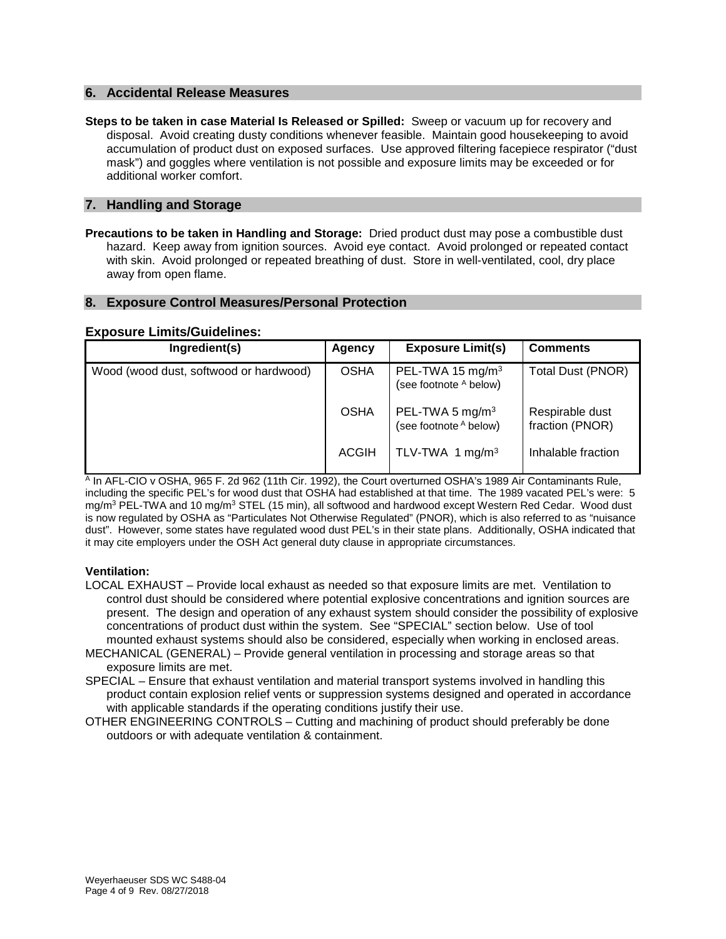#### **6. Accidental Release Measures**

**Steps to be taken in case Material Is Released or Spilled:** Sweep or vacuum up for recovery and disposal. Avoid creating dusty conditions whenever feasible. Maintain good housekeeping to avoid accumulation of product dust on exposed surfaces. Use approved filtering facepiece respirator ("dust mask") and goggles where ventilation is not possible and exposure limits may be exceeded or for additional worker comfort.

#### **7. Handling and Storage**

**Precautions to be taken in Handling and Storage:** Dried product dust may pose a combustible dust hazard. Keep away from ignition sources. Avoid eye contact. Avoid prolonged or repeated contact with skin. Avoid prolonged or repeated breathing of dust. Store in well-ventilated, cool, dry place away from open flame.

#### **8. Exposure Control Measures/Personal Protection**

#### **Exposure Limits/Guidelines:**

| Ingredient(s)                          | Agency       | <b>Exposure Limit(s)</b>                               | <b>Comments</b>                    |
|----------------------------------------|--------------|--------------------------------------------------------|------------------------------------|
| Wood (wood dust, softwood or hardwood) | <b>OSHA</b>  | PEL-TWA 15 mg/m <sup>3</sup><br>(see footnote A below) | Total Dust (PNOR)                  |
|                                        | <b>OSHA</b>  | PEL-TWA 5 mg/m <sup>3</sup><br>(see footnote A below)  | Respirable dust<br>fraction (PNOR) |
|                                        | <b>ACGIH</b> | TLV-TWA 1 mg/m <sup>3</sup>                            | Inhalable fraction                 |

<sup>A</sup> In AFL-CIO v OSHA, 965 F. 2d 962 (11th Cir. 1992), the Court overturned OSHA's 1989 Air Contaminants Rule, including the specific PEL's for wood dust that OSHA had established at that time. The 1989 vacated PEL's were: 5 mg/m<sup>3</sup> PEL-TWA and 10 mg/m<sup>3</sup> STEL (15 min), all softwood and hardwood except Western Red Cedar. Wood dust is now regulated by OSHA as "Particulates Not Otherwise Regulated" (PNOR), which is also referred to as "nuisance dust". However, some states have regulated wood dust PEL's in their state plans. Additionally, OSHA indicated that it may cite employers under the OSH Act general duty clause in appropriate circumstances.

#### **Ventilation:**

- LOCAL EXHAUST Provide local exhaust as needed so that exposure limits are met. Ventilation to control dust should be considered where potential explosive concentrations and ignition sources are present. The design and operation of any exhaust system should consider the possibility of explosive concentrations of product dust within the system. See "SPECIAL" section below. Use of tool mounted exhaust systems should also be considered, especially when working in enclosed areas.
- MECHANICAL (GENERAL) Provide general ventilation in processing and storage areas so that exposure limits are met.
- SPECIAL Ensure that exhaust ventilation and material transport systems involved in handling this product contain explosion relief vents or suppression systems designed and operated in accordance with applicable standards if the operating conditions justify their use.
- OTHER ENGINEERING CONTROLS Cutting and machining of product should preferably be done outdoors or with adequate ventilation & containment.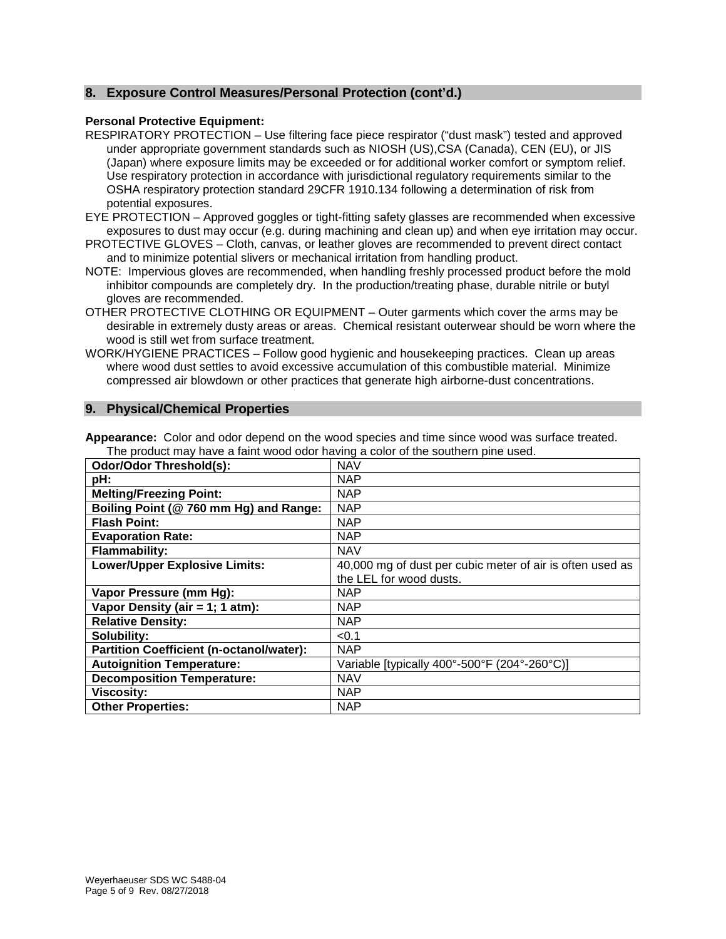#### **8. Exposure Control Measures/Personal Protection (cont'd.)**

#### **Personal Protective Equipment:**

RESPIRATORY PROTECTION – Use filtering face piece respirator ("dust mask") tested and approved under appropriate government standards such as NIOSH (US),CSA (Canada), CEN (EU), or JIS (Japan) where exposure limits may be exceeded or for additional worker comfort or symptom relief. Use respiratory protection in accordance with jurisdictional regulatory requirements similar to the OSHA respiratory protection standard 29CFR 1910.134 following a determination of risk from potential exposures.

- EYE PROTECTION Approved goggles or tight-fitting safety glasses are recommended when excessive exposures to dust may occur (e.g. during machining and clean up) and when eye irritation may occur.
- PROTECTIVE GLOVES Cloth, canvas, or leather gloves are recommended to prevent direct contact and to minimize potential slivers or mechanical irritation from handling product.
- NOTE: Impervious gloves are recommended, when handling freshly processed product before the mold inhibitor compounds are completely dry. In the production/treating phase, durable nitrile or butyl gloves are recommended.
- OTHER PROTECTIVE CLOTHING OR EQUIPMENT Outer garments which cover the arms may be desirable in extremely dusty areas or areas. Chemical resistant outerwear should be worn where the wood is still wet from surface treatment.
- WORK/HYGIENE PRACTICES Follow good hygienic and housekeeping practices. Clean up areas where wood dust settles to avoid excessive accumulation of this combustible material. Minimize compressed air blowdown or other practices that generate high airborne-dust concentrations.

#### **9. Physical/Chemical Properties**

| <b>Odor/Odor Threshold(s):</b>                  | <b>NAV</b>                                                |
|-------------------------------------------------|-----------------------------------------------------------|
| pH:                                             | <b>NAP</b>                                                |
| <b>Melting/Freezing Point:</b>                  | <b>NAP</b>                                                |
| Boiling Point (@ 760 mm Hg) and Range:          | <b>NAP</b>                                                |
| <b>Flash Point:</b>                             | <b>NAP</b>                                                |
| <b>Evaporation Rate:</b>                        | <b>NAP</b>                                                |
| <b>Flammability:</b>                            | <b>NAV</b>                                                |
| <b>Lower/Upper Explosive Limits:</b>            | 40,000 mg of dust per cubic meter of air is often used as |
|                                                 | the LEL for wood dusts.                                   |
| Vapor Pressure (mm Hg):                         | <b>NAP</b>                                                |
| Vapor Density (air = 1; 1 atm):                 | <b>NAP</b>                                                |
| <b>Relative Density:</b>                        | <b>NAP</b>                                                |
| Solubility:                                     | < 0.1                                                     |
| <b>Partition Coefficient (n-octanol/water):</b> | <b>NAP</b>                                                |
| <b>Autoignition Temperature:</b>                | Variable [typically 400°-500°F (204°-260°C)]              |
| <b>Decomposition Temperature:</b>               | <b>NAV</b>                                                |
| <b>Viscosity:</b>                               | <b>NAP</b>                                                |
| <b>Other Properties:</b>                        | <b>NAP</b>                                                |

**Appearance:** Color and odor depend on the wood species and time since wood was surface treated. The product may have a faint wood odor having a color of the southern pine used.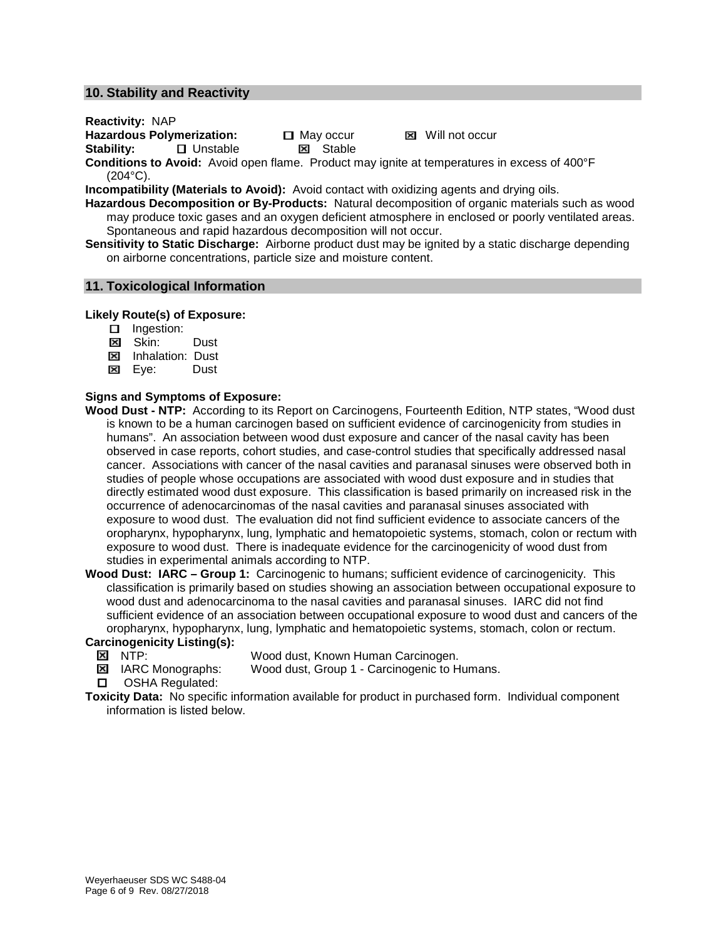#### **10. Stability and Reactivity**

**Reactivity:** NAP

**Hazardous Polymerization:** 口 May occur 図 Will not occur<br>Stability: 口 Unstable **図** Stable

**B** Unstable

**Conditions to Avoid:** Avoid open flame. Product may ignite at temperatures in excess of 400°F (204°C).

**Incompatibility (Materials to Avoid):** Avoid contact with oxidizing agents and drying oils.

**Hazardous Decomposition or By-Products:** Natural decomposition of organic materials such as wood may produce toxic gases and an oxygen deficient atmosphere in enclosed or poorly ventilated areas. Spontaneous and rapid hazardous decomposition will not occur.

**Sensitivity to Static Discharge:** Airborne product dust may be ignited by a static discharge depending on airborne concentrations, particle size and moisture content.

#### **11. Toxicological Information**

#### **Likely Route(s) of Exposure:**

- **Indestion:**
- **Exi** Skin: Dust
- **EX** Inhalation: Dust
- Eye:Dust

#### **Signs and Symptoms of Exposure:**

- **Wood Dust - NTP:** According to its Report on Carcinogens, Fourteenth Edition, NTP states, "Wood dust is known to be a human carcinogen based on sufficient evidence of carcinogenicity from studies in humans". An association between wood dust exposure and cancer of the nasal cavity has been observed in case reports, cohort studies, and case-control studies that specifically addressed nasal cancer. Associations with cancer of the nasal cavities and paranasal sinuses were observed both in studies of people whose occupations are associated with wood dust exposure and in studies that directly estimated wood dust exposure. This classification is based primarily on increased risk in the occurrence of adenocarcinomas of the nasal cavities and paranasal sinuses associated with exposure to wood dust. The evaluation did not find sufficient evidence to associate cancers of the oropharynx, hypopharynx, lung, lymphatic and hematopoietic systems, stomach, colon or rectum with exposure to wood dust. There is inadequate evidence for the carcinogenicity of wood dust from studies in experimental animals according to NTP.
- **Wood Dust: IARC – Group 1:** Carcinogenic to humans; sufficient evidence of carcinogenicity. This classification is primarily based on studies showing an association between occupational exposure to wood dust and adenocarcinoma to the nasal cavities and paranasal sinuses. IARC did not find sufficient evidence of an association between occupational exposure to wood dust and cancers of the oropharynx, hypopharynx, lung, lymphatic and hematopoietic systems, stomach, colon or rectum.
	-
- **Carcinogenicity Listing(s):**<br>**× NTP:** 
	- **冈** NTP: Wood dust, Known Human Carcinogen.<br> **冈** IARC Monographs: Wood dust, Group 1 Carcinogenic to H Wood dust, Group 1 - Carcinogenic to Humans.
	- **D** OSHA Regulated:
- **Toxicity Data:** No specific information available for product in purchased form. Individual component information is listed below.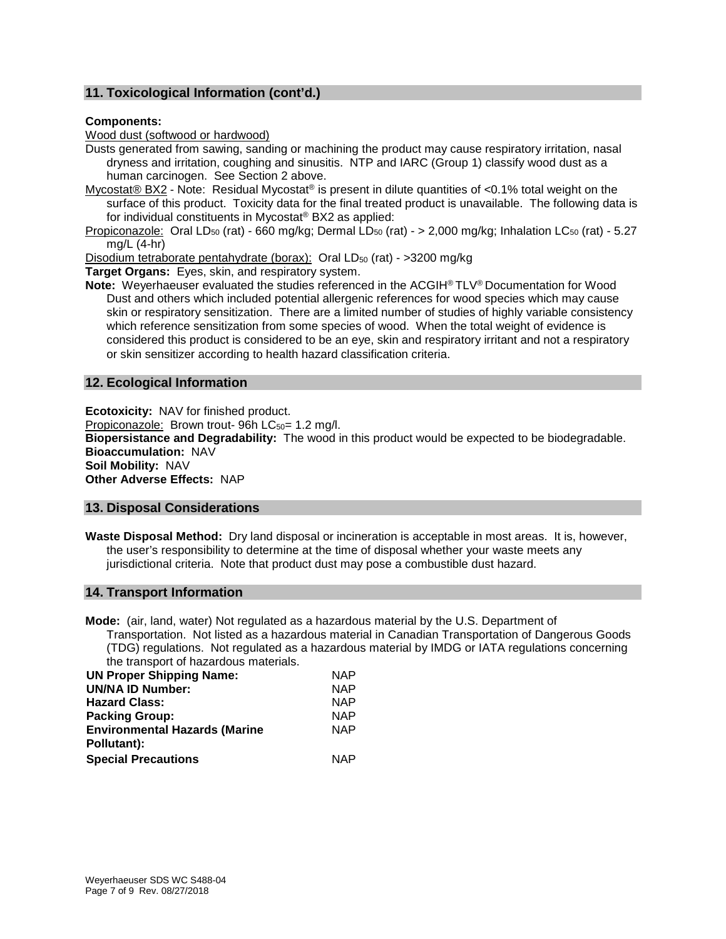## **11. Toxicological Information (cont'd.)**

#### **Components:**

Wood dust (softwood or hardwood)

Dusts generated from sawing, sanding or machining the product may cause respiratory irritation, nasal dryness and irritation, coughing and sinusitis. NTP and IARC (Group 1) classify wood dust as a human carcinogen. See Section 2 above.

Mycostat® BX2 - Note: Residual Mycostat® is present in dilute quantities of <0.1% total weight on the surface of this product. Toxicity data for the final treated product is unavailable. The following data is for individual constituents in Mycostat® BX2 as applied:

Propiconazole: Oral LD<sub>50</sub> (rat) - 660 mg/kg; Dermal LD<sub>50</sub> (rat) - > 2,000 mg/kg; Inhalation LC<sub>50</sub> (rat) - 5.27 mg/L (4-hr)

Disodium tetraborate pentahydrate (borax): Oral LD<sub>50</sub> (rat) - >3200 mg/kg

**Target Organs:** Eyes, skin, and respiratory system.

**Note:** Weyerhaeuser evaluated the studies referenced in the ACGIH® TLV® Documentation for Wood Dust and others which included potential allergenic references for wood species which may cause skin or respiratory sensitization. There are a limited number of studies of highly variable consistency which reference sensitization from some species of wood. When the total weight of evidence is considered this product is considered to be an eye, skin and respiratory irritant and not a respiratory or skin sensitizer according to health hazard classification criteria.

#### **12. Ecological Information**

**Ecotoxicity:** NAV for finished product. Propiconazole: Brown trout- 96h  $LC_{50}$ = 1.2 mg/l. **Biopersistance and Degradability:** The wood in this product would be expected to be biodegradable. **Bioaccumulation:** NAV **Soil Mobility:** NAV **Other Adverse Effects:** NAP

#### **13. Disposal Considerations**

**Waste Disposal Method:** Dry land disposal or incineration is acceptable in most areas. It is, however, the user's responsibility to determine at the time of disposal whether your waste meets any jurisdictional criteria. Note that product dust may pose a combustible dust hazard.

#### **14. Transport Information**

**Mode:** (air, land, water) Not regulated as a hazardous material by the U.S. Department of Transportation. Not listed as a hazardous material in Canadian Transportation of Dangerous Goods (TDG) regulations. Not regulated as a hazardous material by IMDG or IATA regulations concerning the transport of hazardous materials.

| <b>UN Proper Shipping Name:</b>      | <b>NAP</b> |
|--------------------------------------|------------|
| <b>UN/NA ID Number:</b>              | <b>NAP</b> |
| <b>Hazard Class:</b>                 | <b>NAP</b> |
| <b>Packing Group:</b>                | <b>NAP</b> |
| <b>Environmental Hazards (Marine</b> | <b>NAP</b> |
| Pollutant):                          |            |
| <b>Special Precautions</b>           | <b>NAP</b> |
|                                      |            |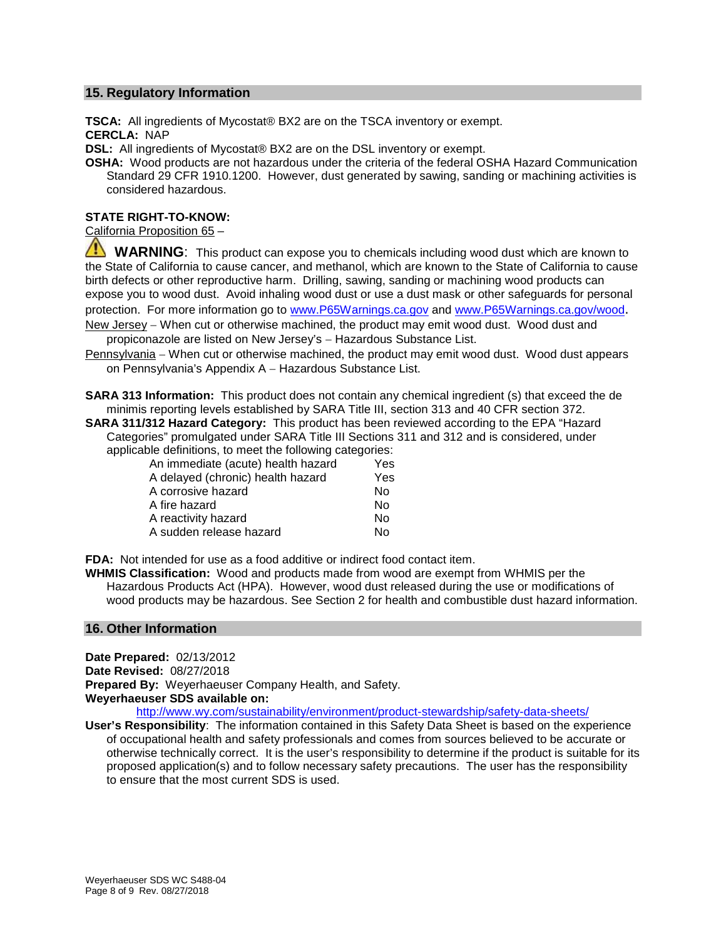#### **15. Regulatory Information**

**TSCA:** All ingredients of Mycostat® BX2 are on the TSCA inventory or exempt. **CERCLA:** NAP

**DSL:** All ingredients of Mycostat<sup>®</sup> BX2 are on the DSL inventory or exempt.

**OSHA:** Wood products are not hazardous under the criteria of the federal OSHA Hazard Communication Standard 29 CFR 1910.1200. However, dust generated by sawing, sanding or machining activities is considered hazardous.

#### **STATE RIGHT-TO-KNOW:**

California Proposition 65 –

**WARNING**: This product can expose you to chemicals including wood dust which are known to the State of California to cause cancer, and methanol, which are known to the State of California to cause birth defects or other reproductive harm. Drilling, sawing, sanding or machining wood products can expose you to wood dust. Avoid inhaling wood dust or use a dust mask or other safeguards for personal protection. For more information go to [www.P65Warnings.ca.gov](http://www.p65warnings.ca.gov/) and [www.P65Warnings.ca.gov/wood.](http://www.p65warnings.ca.gov/wood) New Jersey – When cut or otherwise machined, the product may emit wood dust. Wood dust and

propiconazole are listed on New Jersey's - Hazardous Substance List.

Pennsylvania – When cut or otherwise machined, the product may emit wood dust. Wood dust appears on Pennsylvania's Appendix A – Hazardous Substance List.

**SARA 313 Information:** This product does not contain any chemical ingredient (s) that exceed the de minimis reporting levels established by SARA Title III, section 313 and 40 CFR section 372.

**SARA 311/312 Hazard Category:** This product has been reviewed according to the EPA "Hazard Categories" promulgated under SARA Title III Sections 311 and 312 and is considered, under

applicable definitions, to meet the following categories: An immediate (acute) health hazard Yes

| An immediale (acule) nealth nazard | 1 e S |
|------------------------------------|-------|
| A delayed (chronic) health hazard  | Yes   |
| A corrosive hazard                 | N٥    |
| A fire hazard                      | N٥    |
| A reactivity hazard                | N٥    |
| A sudden release hazard            | N٥    |

**FDA:** Not intended for use as a food additive or indirect food contact item.

**WHMIS Classification:** Wood and products made from wood are exempt from WHMIS per the Hazardous Products Act (HPA). However, wood dust released during the use or modifications of wood products may be hazardous. See Section 2 for health and combustible dust hazard information.

#### **16. Other Information**

**Date Prepared:** 02/13/2012 **Date Revised:** 08/27/2018 **Prepared By:** Weyerhaeuser Company Health, and Safety. **Weyerhaeuser SDS available on:**

<http://www.wy.com/sustainability/environment/product-stewardship/safety-data-sheets/>

**User's Responsibility**: The information contained in this Safety Data Sheet is based on the experience of occupational health and safety professionals and comes from sources believed to be accurate or otherwise technically correct. It is the user's responsibility to determine if the product is suitable for its proposed application(s) and to follow necessary safety precautions. The user has the responsibility to ensure that the most current SDS is used.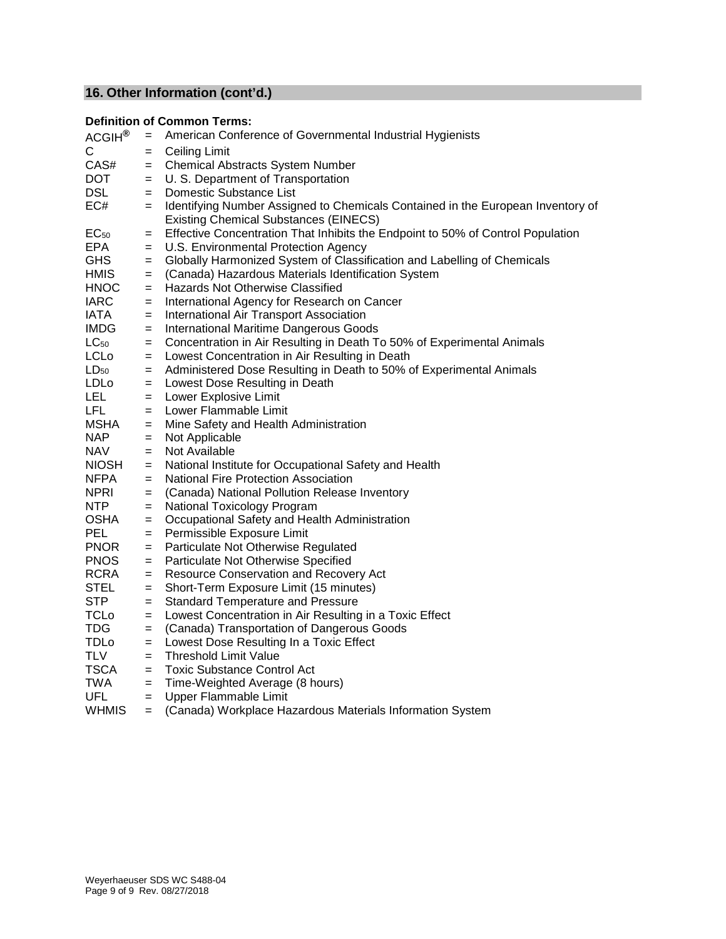# **16. Other Information (cont'd.)**

# **Definition of Common Terms:**

| ACGIH <sup>®</sup> | $=$ | American Conference of Governmental Industrial Hygienists                                                                       |
|--------------------|-----|---------------------------------------------------------------------------------------------------------------------------------|
| C.                 | $=$ | <b>Ceiling Limit</b>                                                                                                            |
| CAS#               | $=$ | <b>Chemical Abstracts System Number</b>                                                                                         |
| DOT                | $=$ | U. S. Department of Transportation                                                                                              |
| <b>DSL</b>         | $=$ | Domestic Substance List                                                                                                         |
| EC#                | $=$ | Identifying Number Assigned to Chemicals Contained in the European Inventory of<br><b>Existing Chemical Substances (EINECS)</b> |
| $EC_{50}$          | $=$ | Effective Concentration That Inhibits the Endpoint to 50% of Control Population                                                 |
| <b>EPA</b>         | $=$ | U.S. Environmental Protection Agency                                                                                            |
| <b>GHS</b>         | $=$ | Globally Harmonized System of Classification and Labelling of Chemicals                                                         |
| <b>HMIS</b>        | $=$ | (Canada) Hazardous Materials Identification System                                                                              |
| <b>HNOC</b>        | $=$ | Hazards Not Otherwise Classified                                                                                                |
| <b>IARC</b>        | $=$ | International Agency for Research on Cancer                                                                                     |
| IATA               | $=$ | International Air Transport Association                                                                                         |
| <b>IMDG</b>        | $=$ | <b>International Maritime Dangerous Goods</b>                                                                                   |
| $LC_{50}$          | $=$ | Concentration in Air Resulting in Death To 50% of Experimental Animals                                                          |
| <b>LCLo</b>        | $=$ | Lowest Concentration in Air Resulting in Death                                                                                  |
| $LD_{50}$          | $=$ | Administered Dose Resulting in Death to 50% of Experimental Animals                                                             |
| LDLo               | $=$ | Lowest Dose Resulting in Death                                                                                                  |
| LEL                | $=$ | Lower Explosive Limit                                                                                                           |
| <b>LFL</b>         | $=$ | Lower Flammable Limit                                                                                                           |
| <b>MSHA</b>        | $=$ | Mine Safety and Health Administration                                                                                           |
| <b>NAP</b>         | $=$ | Not Applicable                                                                                                                  |
| <b>NAV</b>         | $=$ | Not Available                                                                                                                   |
| <b>NIOSH</b>       | $=$ | National Institute for Occupational Safety and Health                                                                           |
| <b>NFPA</b>        | $=$ | <b>National Fire Protection Association</b>                                                                                     |
| <b>NPRI</b>        | $=$ | (Canada) National Pollution Release Inventory                                                                                   |
| <b>NTP</b>         | $=$ | National Toxicology Program                                                                                                     |
| <b>OSHA</b>        | $=$ | Occupational Safety and Health Administration                                                                                   |
| <b>PEL</b>         | $=$ | Permissible Exposure Limit                                                                                                      |
| <b>PNOR</b>        | $=$ | Particulate Not Otherwise Regulated                                                                                             |
| <b>PNOS</b>        | $=$ | Particulate Not Otherwise Specified                                                                                             |
| <b>RCRA</b>        | $=$ | <b>Resource Conservation and Recovery Act</b>                                                                                   |
| <b>STEL</b>        | $=$ | Short-Term Exposure Limit (15 minutes)                                                                                          |
| <b>STP</b>         | $=$ | <b>Standard Temperature and Pressure</b>                                                                                        |
| <b>TCLo</b>        | $=$ | Lowest Concentration in Air Resulting in a Toxic Effect                                                                         |
| <b>TDG</b>         | $=$ | (Canada) Transportation of Dangerous Goods                                                                                      |
| <b>TDLo</b>        | $=$ | Lowest Dose Resulting In a Toxic Effect                                                                                         |
| <b>TLV</b>         | $=$ | <b>Threshold Limit Value</b>                                                                                                    |
| <b>TSCA</b>        | $=$ | <b>Toxic Substance Control Act</b>                                                                                              |
| <b>TWA</b>         | $=$ | Time-Weighted Average (8 hours)                                                                                                 |
| <b>UFL</b>         | $=$ | Upper Flammable Limit                                                                                                           |
| <b>WHMIS</b>       | $=$ | (Canada) Workplace Hazardous Materials Information System                                                                       |